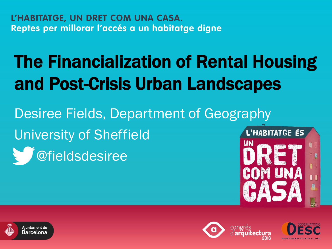L'HABITATGE, UN DRET COM UNA CASA. Reptes per millorar l'accés a un habitatge digne

# The Financialization of Rental Housing and Post-Crisis Urban Landscapes

Desiree Fields, Department of Geography University of Sheffield @fieldsdesiree









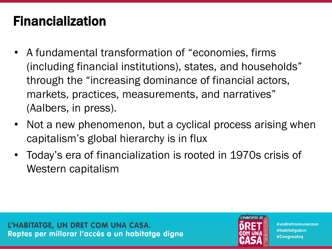### Financialization

- A fundamental transformation of "economies, firms (including financial institutions), states, and households" through the "increasing dominance of financial actors, markets, practices, measurements, and narratives" (Aalbers, in press).
- Not a new phenomenon, but a cyclical process arising when capitalism's global hierarchy is in flux
- Today's era of financialization is rooted in 1970s crisis of Western capitalism

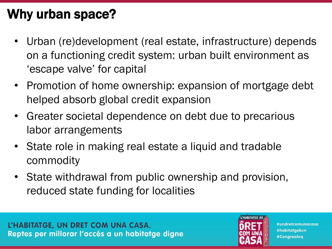## Why urban space?

- Urban (re)development (real estate, infrastructure) depends on a functioning credit system: urban built environment as 'escape valve' for capital
- Promotion of home ownership: expansion of mortgage debt helped absorb global credit expansion
- Greater societal dependence on debt due to precarious labor arrangements
- State role in making real estate a liquid and tradable commodity
- State withdrawal from public ownership and provision, reduced state funding for localities

L'HABITATGE, UN DRET COM UNA CASA. Reptes per millorar l'accés a un habitatge digne

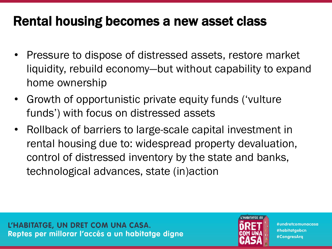#### Rental housing becomes a new asset class

- Pressure to dispose of distressed assets, restore market liquidity, rebuild economy—but without capability to expand home ownership
- Growth of opportunistic private equity funds ('vulture funds') with focus on distressed assets
- Rollback of barriers to large-scale capital investment in rental housing due to: widespread property devaluation, control of distressed inventory by the state and banks, technological advances, state (in)action

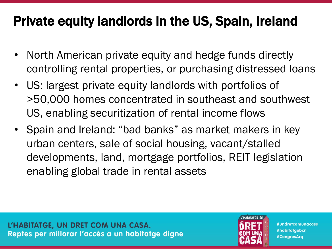#### Private equity landlords in the US, Spain, Ireland

- North American private equity and hedge funds directly controlling rental properties, or purchasing distressed loans
- US: largest private equity landlords with portfolios of >50,000 homes concentrated in southeast and southwest US, enabling securitization of rental income flows
- Spain and Ireland: "bad banks" as market makers in key urban centers, sale of social housing, vacant/stalled developments, land, mortgage portfolios, REIT legislation enabling global trade in rental assets

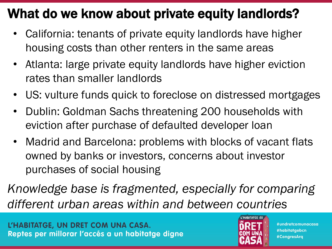### What do we know about private equity landlords?

- California: tenants of private equity landlords have higher housing costs than other renters in the same areas
- Atlanta: large private equity landlords have higher eviction rates than smaller landlords
- US: vulture funds quick to foreclose on distressed mortgages
- Dublin: Goldman Sachs threatening 200 households with eviction after purchase of defaulted developer loan
- Madrid and Barcelona: problems with blocks of vacant flats owned by banks or investors, concerns about investor purchases of social housing

*Knowledge base is fragmented, especially for comparing different urban areas within and between countries*

L'HABITATGE, UN DRET COM UNA CASA. Reptes per millorar l'accés a un habitatge digne

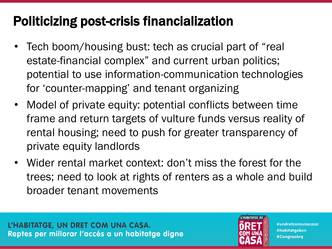### Politicizing post-crisis financialization

- Tech boom/housing bust: tech as crucial part of "real estate-financial complex" and current urban politics; potential to use information-communication technologies for 'counter-mapping' and tenant organizing
- Model of private equity: potential conflicts between time frame and return targets of vulture funds versus reality of rental housing; need to push for greater transparency of private equity landlords
- Wider rental market context: don't miss the forest for the trees; need to look at rights of renters as a whole and build broader tenant movements

L'HABITATGE, UN DRET COM UNA CASA. Reptes per millorar l'accés a un habitatge digne